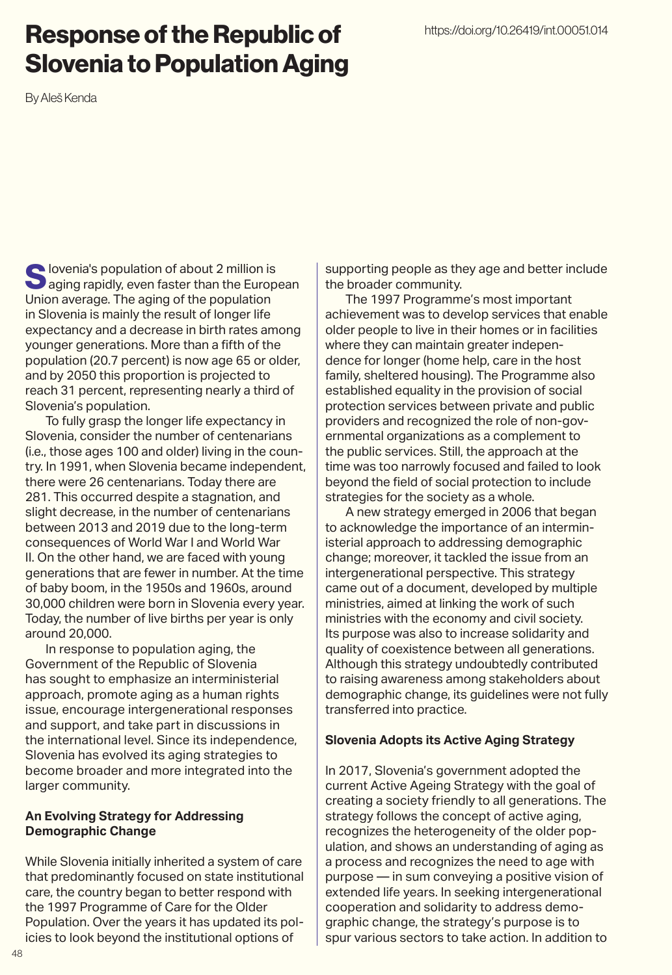### Response of the Republic of Slovenia to Population Aging

By Aleš Kenda

Slovenia's population of about 2 million is<br>
saging rapidly, even faster than the European Union average. The aging of the population in Slovenia is mainly the result of longer life expectancy and a decrease in birth rates among younger generations. More than a fifth of the population (20.7 percent) is now age 65 or older, and by 2050 this proportion is projected to reach 31 percent, representing nearly a third of Slovenia's population.

To fully grasp the longer life expectancy in Slovenia, consider the number of centenarians (i.e., those ages 100 and older) living in the country. In 1991, when Slovenia became independent, there were 26 centenarians. Today there are 281. This occurred despite a stagnation, and slight decrease, in the number of centenarians between 2013 and 2019 due to the long-term consequences of World War I and World War II. On the other hand, we are faced with young generations that are fewer in number. At the time of baby boom, in the 1950s and 1960s, around 30,000 children were born in Slovenia every year. Today, the number of live births per year is only around 20,000.

In response to population aging, the Government of the Republic of Slovenia has sought to emphasize an interministerial approach, promote aging as a human rights issue, encourage intergenerational responses and support, and take part in discussions in the international level. Since its independence, Slovenia has evolved its aging strategies to become broader and more integrated into the larger community.

### **An Evolving Strategy for Addressing Demographic Change**

While Slovenia initially inherited a system of care that predominantly focused on state institutional care, the country began to better respond with the 1997 Programme of Care for the Older Population. Over the years it has updated its policies to look beyond the institutional options of

supporting people as they age and better include the broader community.

The 1997 Programme's most important achievement was to develop services that enable older people to live in their homes or in facilities where they can maintain greater independence for longer (home help, care in the host family, sheltered housing). The Programme also established equality in the provision of social protection services between private and public providers and recognized the role of non-governmental organizations as a complement to the public services. Still, the approach at the time was too narrowly focused and failed to look beyond the field of social protection to include strategies for the society as a whole.

A new strategy emerged in 2006 that began to acknowledge the importance of an interministerial approach to addressing demographic change; moreover, it tackled the issue from an intergenerational perspective. This strategy came out of a document, developed by multiple ministries, aimed at linking the work of such ministries with the economy and civil society. Its purpose was also to increase solidarity and quality of coexistence between all generations. Although this strategy undoubtedly contributed to raising awareness among stakeholders about demographic change, its guidelines were not fully transferred into practice.

### **Slovenia Adopts its Active Aging Strategy**

In 2017, Slovenia's government adopted the current Active Ageing Strategy with the goal of creating a society friendly to all generations. The strategy follows the concept of active aging, recognizes the heterogeneity of the older population, and shows an understanding of aging as a process and recognizes the need to age with purpose — in sum conveying a positive vision of extended life years. In seeking intergenerational cooperation and solidarity to address demographic change, the strategy's purpose is to spur various sectors to take action. In addition to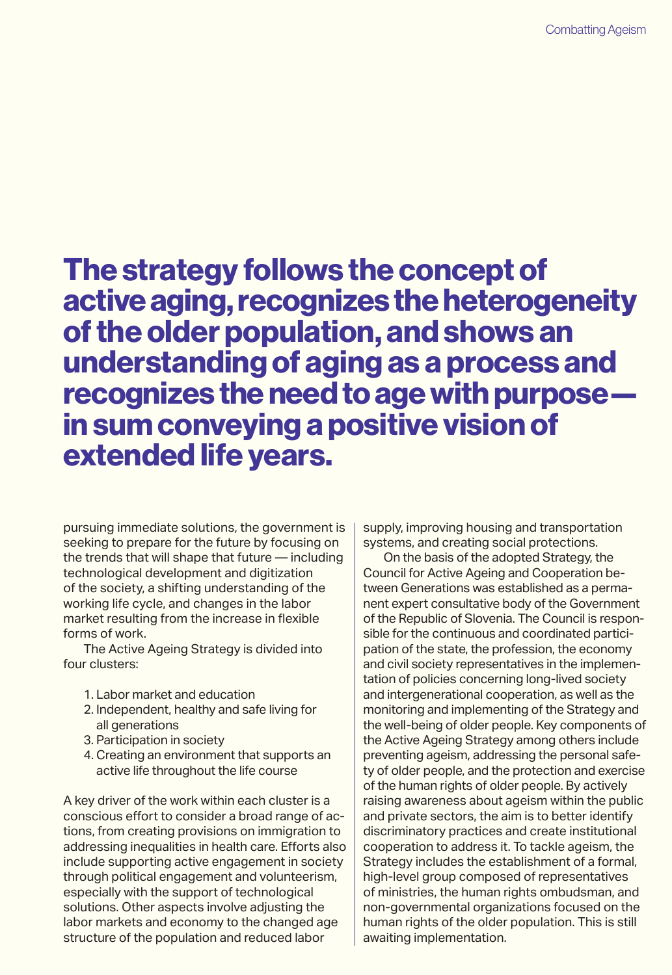## The strategy follows the concept of active aging, recognizes the heterogeneity of the older population, and shows an understanding of aging as a process and recognizes the need to age with purpose in sum conveying a positive vision of extended life years.

pursuing immediate solutions, the government is seeking to prepare for the future by focusing on the trends that will shape that future — including technological development and digitization of the society, a shifting understanding of the working life cycle, and changes in the labor market resulting from the increase in flexible forms of work.

The Active Ageing Strategy is divided into four clusters:

- 1. Labor market and education
- 2. Independent, healthy and safe living for all generations
- 3. Participation in society
- 4. Creating an environment that supports an active life throughout the life course

A key driver of the work within each cluster is a conscious effort to consider a broad range of actions, from creating provisions on immigration to addressing inequalities in health care. Efforts also include supporting active engagement in society through political engagement and volunteerism, especially with the support of technological solutions. Other aspects involve adjusting the labor markets and economy to the changed age structure of the population and reduced labor

supply, improving housing and transportation systems, and creating social protections.

On the basis of the adopted Strategy, the Council for Active Ageing and Cooperation between Generations was established as a permanent expert consultative body of the Government of the Republic of Slovenia. The Council is responsible for the continuous and coordinated participation of the state, the profession, the economy and civil society representatives in the implementation of policies concerning long-lived society and intergenerational cooperation, as well as the monitoring and implementing of the Strategy and the well-being of older people. Key components of the Active Ageing Strategy among others include preventing ageism, addressing the personal safety of older people, and the protection and exercise of the human rights of older people. By actively raising awareness about ageism within the public and private sectors, the aim is to better identify discriminatory practices and create institutional cooperation to address it. To tackle ageism, the Strategy includes the establishment of a formal, high-level group composed of representatives of ministries, the human rights ombudsman, and non-governmental organizations focused on the human rights of the older population. This is still awaiting implementation.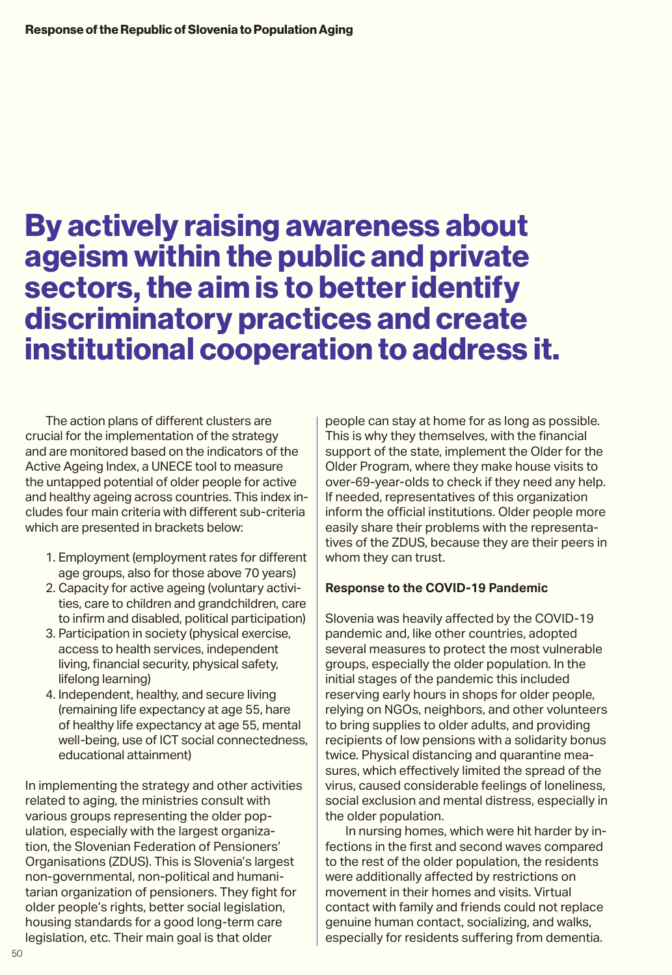# By actively raising awareness about ageism within the public and private sectors, the aim is to better identify discriminatory practices and create institutional cooperation to address it.

The action plans of different clusters are crucial for the implementation of the strategy and are monitored based on the indicators of the Active Ageing Index, a UNECE tool to measure the untapped potential of older people for active and healthy ageing across countries. This index includes four main criteria with different sub-criteria which are presented in brackets below:

- 1. Employment (employment rates for different age groups, also for those above 70 years)
- 2. Capacity for active ageing (voluntary activities, care to children and grandchildren, care to infirm and disabled, political participation)
- 3. Participation in society (physical exercise, access to health services, independent living, financial security, physical safety, lifelong learning)
- 4. Independent, healthy, and secure living (remaining life expectancy at age 55, hare of healthy life expectancy at age 55, mental well-being, use of ICT social connectedness, educational attainment)

In implementing the strategy and other activities related to aging, the ministries consult with various groups representing the older population, especially with the largest organization, the Slovenian Federation of Pensioners' Organisations (ZDUS). This is Slovenia's largest non-governmental, non-political and humanitarian organization of pensioners. They fight for older people's rights, better social legislation, housing standards for a good long-term care legislation, etc. Their main goal is that older

people can stay at home for as long as possible. This is why they themselves, with the financial support of the state, implement the Older for the Older Program, where they make house visits to over-69-year-olds to check if they need any help. If needed, representatives of this organization inform the official institutions. Older people more easily share their problems with the representatives of the ZDUS, because they are their peers in whom they can trust.

### **Response to the COVID-19 Pandemic**

Slovenia was heavily affected by the COVID-19 pandemic and, like other countries, adopted several measures to protect the most vulnerable groups, especially the older population. In the initial stages of the pandemic this included reserving early hours in shops for older people, relying on NGOs, neighbors, and other volunteers to bring supplies to older adults, and providing recipients of low pensions with a solidarity bonus twice. Physical distancing and quarantine measures, which effectively limited the spread of the virus, caused considerable feelings of loneliness, social exclusion and mental distress, especially in the older population.

In nursing homes, which were hit harder by infections in the first and second waves compared to the rest of the older population, the residents were additionally affected by restrictions on movement in their homes and visits. Virtual contact with family and friends could not replace genuine human contact, socializing, and walks, especially for residents suffering from dementia.